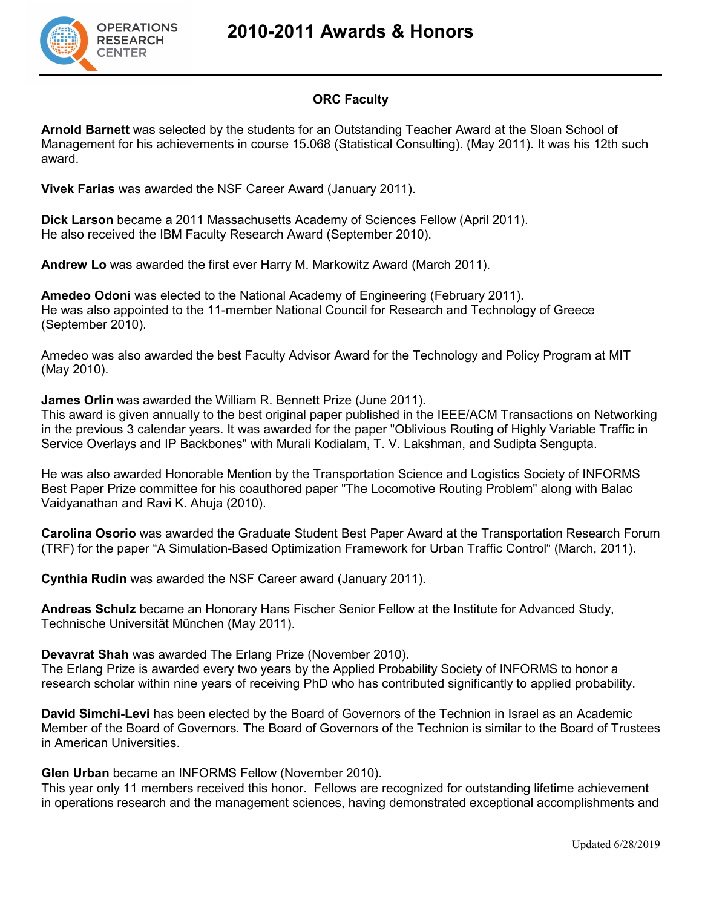

# **2010-2011 Awards & Honors**

# **ORC Faculty**

**Arnold Barnett** was selected by the students for an Outstanding Teacher Award at the Sloan School of Management for his achievements in course 15.068 (Statistical Consulting). (May 2011). It was his 12th such award.

**Vivek Farias** was awarded the NSF Career Award (January 2011).

**Dick Larson** became a 2011 Massachusetts Academy of Sciences Fellow (April 2011). He also received the IBM Faculty Research Award (September 2010).

**Andrew Lo** was awarded the first ever Harry M. Markowitz Award (March 2011).

**Amedeo Odoni** was elected to the National Academy of Engineering (February 2011). He was also appointed to the 11-member National Council for Research and Technology of Greece (September 2010).

Amedeo was also awarded the best Faculty Advisor Award for the Technology and Policy Program at MIT (May 2010).

**James Orlin** was awarded the William R. Bennett Prize (June 2011).

This award is given annually to the best original paper published in the IEEE/ACM Transactions on Networking in the previous 3 calendar years. It was awarded for the paper "Oblivious Routing of Highly Variable Traffic in Service Overlays and IP Backbones" with Murali Kodialam, T. V. Lakshman, and Sudipta Sengupta.

He was also awarded Honorable Mention by the Transportation Science and Logistics Society of INFORMS Best Paper Prize committee for his coauthored paper "The Locomotive Routing Problem" along with Balac Vaidyanathan and Ravi K. Ahuja (2010).

**Carolina Osorio** was awarded the Graduate Student Best Paper Award at the Transportation Research Forum (TRF) for the paper "A Simulation-Based Optimization Framework for Urban Traffic Control" (March, 2011).

**Cynthia Rudin** was awarded the NSF Career award (January 2011).

**Andreas Schulz** became an Honorary Hans Fischer Senior Fellow at the Institute for Advanced Study, Technische Universität München (May 2011).

### **Devavrat Shah** was awarded The Erlang Prize (November 2010).

The Erlang Prize is awarded every two years by the Applied Probability Society of INFORMS to honor a research scholar within nine years of receiving PhD who has contributed significantly to applied probability.

**David Simchi-Levi** has been elected by the Board of Governors of the Technion in Israel as an Academic Member of the Board of Governors. The Board of Governors of the Technion is similar to the Board of Trustees in American Universities.

**Glen Urban** became an INFORMS Fellow (November 2010).

This year only 11 members received this honor. Fellows are recognized for outstanding lifetime achievement in operations research and the management sciences, having demonstrated exceptional accomplishments and